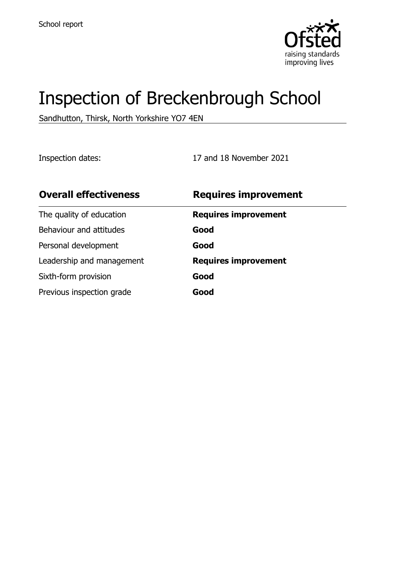

# Inspection of Breckenbrough School

Sandhutton, Thirsk, North Yorkshire YO7 4EN

Inspection dates: 17 and 18 November 2021

| <b>Overall effectiveness</b> | <b>Requires improvement</b> |
|------------------------------|-----------------------------|
| The quality of education     | <b>Requires improvement</b> |
| Behaviour and attitudes      | Good                        |
| Personal development         | Good                        |
| Leadership and management    | <b>Requires improvement</b> |
| Sixth-form provision         | Good                        |
| Previous inspection grade    | Good                        |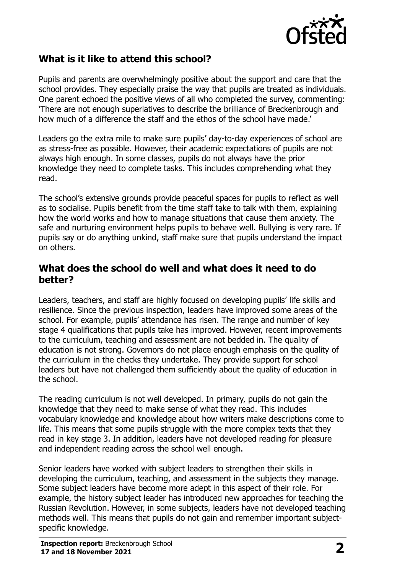

## **What is it like to attend this school?**

Pupils and parents are overwhelmingly positive about the support and care that the school provides. They especially praise the way that pupils are treated as individuals. One parent echoed the positive views of all who completed the survey, commenting: 'There are not enough superlatives to describe the brilliance of Breckenbrough and how much of a difference the staff and the ethos of the school have made.'

Leaders go the extra mile to make sure pupils' day-to-day experiences of school are as stress-free as possible. However, their academic expectations of pupils are not always high enough. In some classes, pupils do not always have the prior knowledge they need to complete tasks. This includes comprehending what they read.

The school's extensive grounds provide peaceful spaces for pupils to reflect as well as to socialise. Pupils benefit from the time staff take to talk with them, explaining how the world works and how to manage situations that cause them anxiety. The safe and nurturing environment helps pupils to behave well. Bullying is very rare. If pupils say or do anything unkind, staff make sure that pupils understand the impact on others.

#### **What does the school do well and what does it need to do better?**

Leaders, teachers, and staff are highly focused on developing pupils' life skills and resilience. Since the previous inspection, leaders have improved some areas of the school. For example, pupils' attendance has risen. The range and number of key stage 4 qualifications that pupils take has improved. However, recent improvements to the curriculum, teaching and assessment are not bedded in. The quality of education is not strong. Governors do not place enough emphasis on the quality of the curriculum in the checks they undertake. They provide support for school leaders but have not challenged them sufficiently about the quality of education in the school.

The reading curriculum is not well developed. In primary, pupils do not gain the knowledge that they need to make sense of what they read. This includes vocabulary knowledge and knowledge about how writers make descriptions come to life. This means that some pupils struggle with the more complex texts that they read in key stage 3. In addition, leaders have not developed reading for pleasure and independent reading across the school well enough.

Senior leaders have worked with subject leaders to strengthen their skills in developing the curriculum, teaching, and assessment in the subjects they manage. Some subject leaders have become more adept in this aspect of their role. For example, the history subject leader has introduced new approaches for teaching the Russian Revolution. However, in some subjects, leaders have not developed teaching methods well. This means that pupils do not gain and remember important subjectspecific knowledge.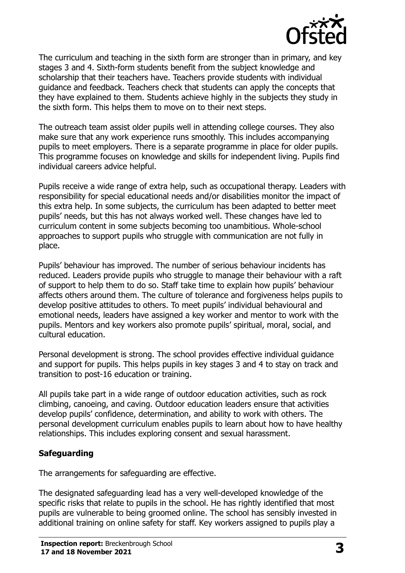

The curriculum and teaching in the sixth form are stronger than in primary, and key stages 3 and 4. Sixth-form students benefit from the subject knowledge and scholarship that their teachers have. Teachers provide students with individual guidance and feedback. Teachers check that students can apply the concepts that they have explained to them. Students achieve highly in the subjects they study in the sixth form. This helps them to move on to their next steps.

The outreach team assist older pupils well in attending college courses. They also make sure that any work experience runs smoothly. This includes accompanying pupils to meet employers. There is a separate programme in place for older pupils. This programme focuses on knowledge and skills for independent living. Pupils find individual careers advice helpful.

Pupils receive a wide range of extra help, such as occupational therapy. Leaders with responsibility for special educational needs and/or disabilities monitor the impact of this extra help. In some subjects, the curriculum has been adapted to better meet pupils' needs, but this has not always worked well. These changes have led to curriculum content in some subjects becoming too unambitious. Whole-school approaches to support pupils who struggle with communication are not fully in place.

Pupils' behaviour has improved. The number of serious behaviour incidents has reduced. Leaders provide pupils who struggle to manage their behaviour with a raft of support to help them to do so. Staff take time to explain how pupils' behaviour affects others around them. The culture of tolerance and forgiveness helps pupils to develop positive attitudes to others. To meet pupils' individual behavioural and emotional needs, leaders have assigned a key worker and mentor to work with the pupils. Mentors and key workers also promote pupils' spiritual, moral, social, and cultural education.

Personal development is strong. The school provides effective individual guidance and support for pupils. This helps pupils in key stages 3 and 4 to stay on track and transition to post-16 education or training.

All pupils take part in a wide range of outdoor education activities, such as rock climbing, canoeing, and caving. Outdoor education leaders ensure that activities develop pupils' confidence, determination, and ability to work with others. The personal development curriculum enables pupils to learn about how to have healthy relationships. This includes exploring consent and sexual harassment.

#### **Safeguarding**

The arrangements for safeguarding are effective.

The designated safeguarding lead has a very well-developed knowledge of the specific risks that relate to pupils in the school. He has rightly identified that most pupils are vulnerable to being groomed online. The school has sensibly invested in additional training on online safety for staff. Key workers assigned to pupils play a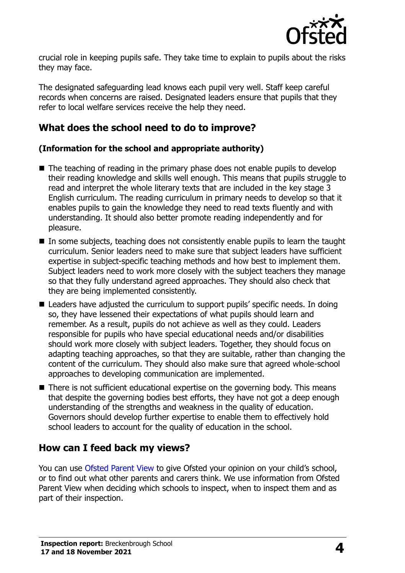

crucial role in keeping pupils safe. They take time to explain to pupils about the risks they may face.

The designated safeguarding lead knows each pupil very well. Staff keep careful records when concerns are raised. Designated leaders ensure that pupils that they refer to local welfare services receive the help they need.

## **What does the school need to do to improve?**

#### **(Information for the school and appropriate authority)**

- The teaching of reading in the primary phase does not enable pupils to develop their reading knowledge and skills well enough. This means that pupils struggle to read and interpret the whole literary texts that are included in the key stage 3 English curriculum. The reading curriculum in primary needs to develop so that it enables pupils to gain the knowledge they need to read texts fluently and with understanding. It should also better promote reading independently and for pleasure.
- In some subjects, teaching does not consistently enable pupils to learn the taught curriculum. Senior leaders need to make sure that subject leaders have sufficient expertise in subject-specific teaching methods and how best to implement them. Subject leaders need to work more closely with the subject teachers they manage so that they fully understand agreed approaches. They should also check that they are being implemented consistently.
- Leaders have adjusted the curriculum to support pupils' specific needs. In doing so, they have lessened their expectations of what pupils should learn and remember. As a result, pupils do not achieve as well as they could. Leaders responsible for pupils who have special educational needs and/or disabilities should work more closely with subject leaders. Together, they should focus on adapting teaching approaches, so that they are suitable, rather than changing the content of the curriculum. They should also make sure that agreed whole-school approaches to developing communication are implemented.
- There is not sufficient educational expertise on the governing body. This means that despite the governing bodies best efforts, they have not got a deep enough understanding of the strengths and weakness in the quality of education. Governors should develop further expertise to enable them to effectively hold school leaders to account for the quality of education in the school.

## **How can I feed back my views?**

You can use [Ofsted Parent View](http://parentview.ofsted.gov.uk/) to give Ofsted your opinion on your child's school, or to find out what other parents and carers think. We use information from Ofsted Parent View when deciding which schools to inspect, when to inspect them and as part of their inspection.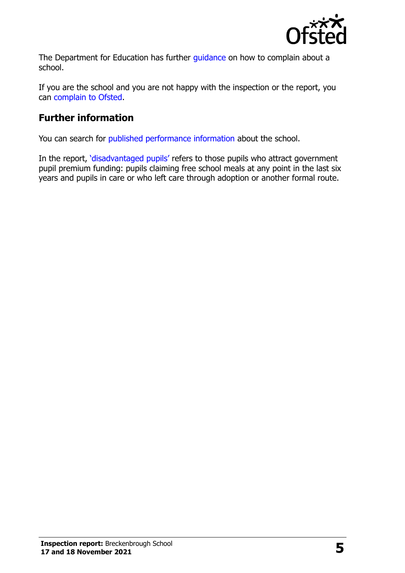

The Department for Education has further quidance on how to complain about a school.

If you are the school and you are not happy with the inspection or the report, you can [complain to Ofsted.](http://www.gov.uk/complain-ofsted-report)

## **Further information**

You can search for [published performance information](http://www.compare-school-performance.service.gov.uk/) about the school.

In the report, '[disadvantaged pupils](http://www.gov.uk/guidance/pupil-premium-information-for-schools-and-alternative-provision-settings)' refers to those pupils who attract government pupil premium funding: pupils claiming free school meals at any point in the last six years and pupils in care or who left care through adoption or another formal route.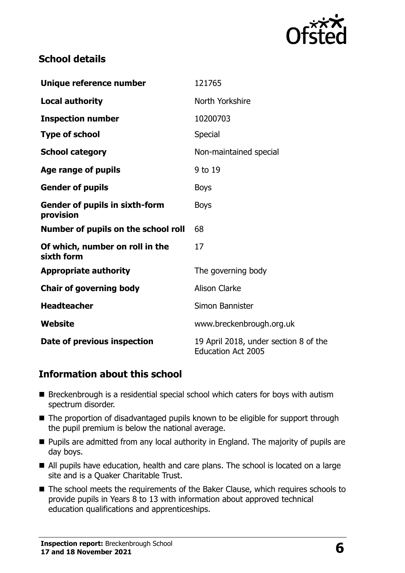

#### **School details**

| Unique reference number                            | 121765                                                             |
|----------------------------------------------------|--------------------------------------------------------------------|
| <b>Local authority</b>                             | North Yorkshire                                                    |
| <b>Inspection number</b>                           | 10200703                                                           |
| <b>Type of school</b>                              | <b>Special</b>                                                     |
| <b>School category</b>                             | Non-maintained special                                             |
| Age range of pupils                                | 9 to 19                                                            |
| <b>Gender of pupils</b>                            | <b>Boys</b>                                                        |
| <b>Gender of pupils in sixth-form</b><br>provision | <b>Boys</b>                                                        |
| Number of pupils on the school roll                | 68                                                                 |
| Of which, number on roll in the<br>sixth form      | 17                                                                 |
| <b>Appropriate authority</b>                       | The governing body                                                 |
| <b>Chair of governing body</b>                     | <b>Alison Clarke</b>                                               |
| <b>Headteacher</b>                                 | Simon Bannister                                                    |
| Website                                            | www.breckenbrough.org.uk                                           |
| Date of previous inspection                        | 19 April 2018, under section 8 of the<br><b>Education Act 2005</b> |

## **Information about this school**

- Breckenbrough is a residential special school which caters for boys with autism spectrum disorder.
- The proportion of disadvantaged pupils known to be eligible for support through the pupil premium is below the national average.
- **Pupils are admitted from any local authority in England. The majority of pupils are** day boys.
- All pupils have education, health and care plans. The school is located on a large site and is a Quaker Charitable Trust.
- The school meets the requirements of the Baker Clause, which requires schools to provide pupils in Years 8 to 13 with information about approved technical education qualifications and apprenticeships.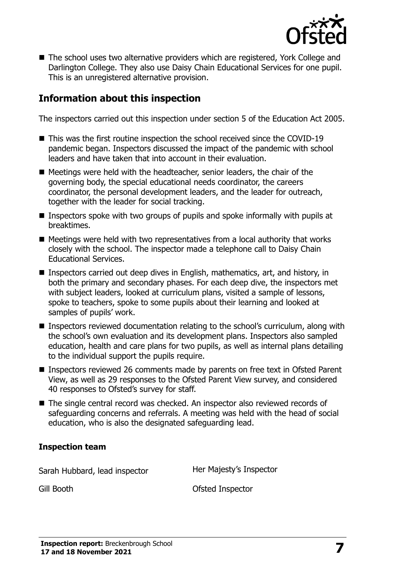

■ The school uses two alternative providers which are registered, York College and Darlington College. They also use Daisy Chain Educational Services for one pupil. This is an unregistered alternative provision.

#### **Information about this inspection**

The inspectors carried out this inspection under section 5 of the Education Act 2005.

- This was the first routine inspection the school received since the COVID-19 pandemic began. Inspectors discussed the impact of the pandemic with school leaders and have taken that into account in their evaluation.
- Meetings were held with the headteacher, senior leaders, the chair of the governing body, the special educational needs coordinator, the careers coordinator, the personal development leaders, and the leader for outreach, together with the leader for social tracking.
- **Inspectors spoke with two groups of pupils and spoke informally with pupils at** breaktimes.
- Meetings were held with two representatives from a local authority that works closely with the school. The inspector made a telephone call to Daisy Chain Educational Services.
- Inspectors carried out deep dives in English, mathematics, art, and history, in both the primary and secondary phases. For each deep dive, the inspectors met with subject leaders, looked at curriculum plans, visited a sample of lessons, spoke to teachers, spoke to some pupils about their learning and looked at samples of pupils' work.
- Inspectors reviewed documentation relating to the school's curriculum, along with the school's own evaluation and its development plans. Inspectors also sampled education, health and care plans for two pupils, as well as internal plans detailing to the individual support the pupils require.
- Inspectors reviewed 26 comments made by parents on free text in Ofsted Parent View, as well as 29 responses to the Ofsted Parent View survey, and considered 40 responses to Ofsted's survey for staff.
- The single central record was checked. An inspector also reviewed records of safeguarding concerns and referrals. A meeting was held with the head of social education, who is also the designated safeguarding lead.

#### **Inspection team**

Sarah Hubbard, lead inspector **Her Majesty's Inspector** 

Gill Booth **Ofsted Inspector**